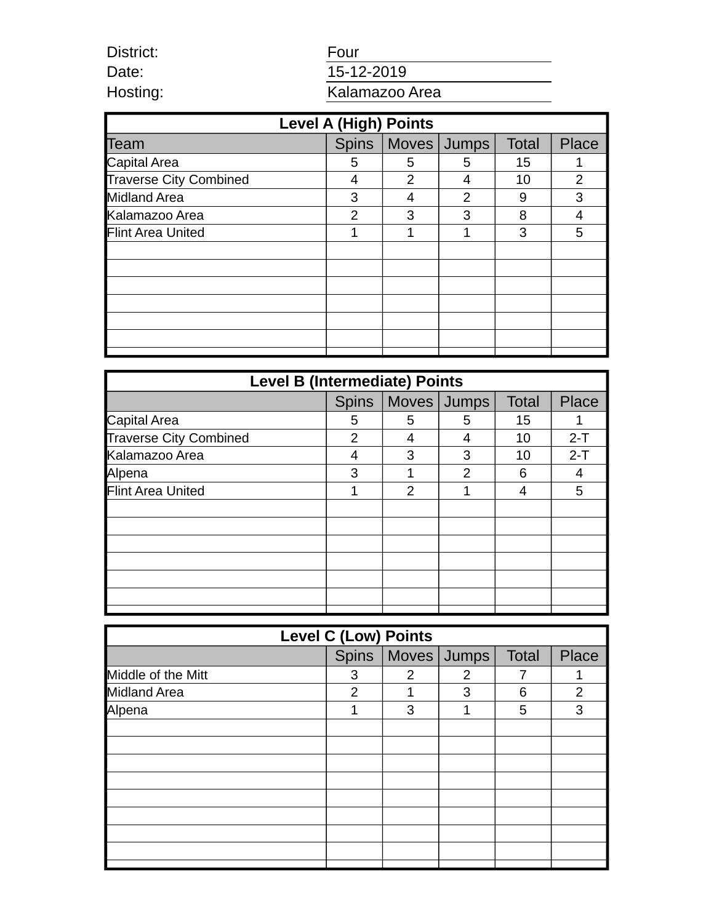| District: | Four           |  |  |
|-----------|----------------|--|--|
| Date:     | 15-12-2019     |  |  |
| Hosting:  | Kalamazoo Area |  |  |

| Hosting:                      | Kalamazoo Area |       |              |              |              |
|-------------------------------|----------------|-------|--------------|--------------|--------------|
| <b>Level A (High) Points</b>  |                |       |              |              |              |
| Team                          | <b>Spins</b>   | Moves | <b>Jumps</b> | <b>Total</b> | <b>Place</b> |
| Capital Area                  | 5              | 5     | 5            | 15           | 1            |
| <b>Traverse City Combined</b> | 4              | 2     | 4            | 10           | 2            |
| <b>Midland Area</b>           | 3              | 4     | 2            | 9            | 3            |
| Kalamazoo Area                | 2              | 3     | 3            | 8            | 4            |
| Flint Area United             | 1              | 1     | 1            | 3            | 5            |
|                               |                |       |              |              |              |
|                               |                |       |              |              |              |
|                               |                |       |              |              |              |
|                               |                |       |              |              |              |
|                               |                |       |              |              |              |
|                               |                |       |              |              |              |

District:

| <b>Level B (Intermediate) Points</b> |              |   |             |              |       |
|--------------------------------------|--------------|---|-------------|--------------|-------|
|                                      | <b>Spins</b> |   | Moves Jumps | <b>Total</b> | Place |
| Capital Area                         | 5            | 5 | 5           | 15           | 1     |
| <b>Traverse City Combined</b>        | 2            | 4 | 4           | 10           | $2-T$ |
| Kalamazoo Area                       | 4            | 3 | 3           | 10           | $2-T$ |
| Alpena                               | 3            | 1 | 2           | 6            | 4     |
| Flint Area United                    | 1            | 2 | 1           | 4            | 5     |
|                                      |              |   |             |              |       |
|                                      |              |   |             |              |       |
|                                      |              |   |             |              |       |
|                                      |              |   |             |              |       |
|                                      |              |   |             |              |       |
|                                      |              |   |             |              |       |
|                                      |              |   |             |              |       |

| <b>Level C (Low) Points</b> |   |   |                       |              |       |
|-----------------------------|---|---|-----------------------|--------------|-------|
|                             |   |   | Spins   Moves   Jumps | <b>Total</b> | Place |
| Middle of the Mitt          | 3 | 2 | 2                     |              |       |
| Midland Area                | 2 | 1 | 3                     | 6            | 2     |
| Alpena                      |   | 3 | 1                     | 5            | 3     |
|                             |   |   |                       |              |       |
|                             |   |   |                       |              |       |
|                             |   |   |                       |              |       |
|                             |   |   |                       |              |       |
|                             |   |   |                       |              |       |
|                             |   |   |                       |              |       |
|                             |   |   |                       |              |       |
|                             |   |   |                       |              |       |
|                             |   |   |                       |              |       |